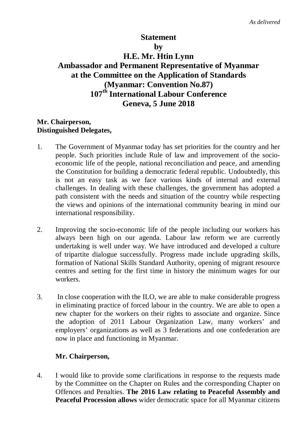## **Statement by H.E. Mr. Htin Lynn Ambassador and Permanent Representative of Myanmar at the Committee on the Application of Standards (Myanmar: Convention No.87) 107th International Labour Conference Geneva, 5 June 2018**

## **Mr. Chairperson, Distinguished Delegates,**

- 1. The Government of Myanmar today has set priorities for the country and her people. Such priorities include Rule of law and improvement of the socioeconomic life of the people, national reconciliation and peace, and amending the Constitution for building a democratic federal republic. Undoubtedly, this is not an easy task as we face various kinds of internal and external challenges. In dealing with these challenges, the government has adopted a path consistent with the needs and situation of the country while respecting the views and opinions of the international community bearing in mind our international responsibility.
- 2. Improving the socio-economic life of the people including our workers has always been high on our agenda. Labour law reform we are currently undertaking is well under way. We have introduced and developed a culture of tripartite dialogue successfully. Progress made include upgrading skills, formation of National Skills Standard Authority, opening of migrant resource centres and setting for the first time in history the minimum wages for our workers.
- 3. In close cooperation with the ILO, we are able to make considerable progress in eliminating practice of forced labour in the country. We are able to open a new chapter for the workers on their rights to associate and organize. Since the adoption of 2011 Labour Organization Law, many workers' and employers' organizations as well as 3 federations and one confederation are now in place and functioning in Myanmar.

## **Mr. Chairperson,**

4. I would like to provide some clarifications in response to the requests made by the Committee on the Chapter on Rules and the corresponding Chapter on Offences and Penalties. **The 2016 Law relating to Peaceful Assembly and Peaceful Procession allows** wider democratic space for all Myanmar citizens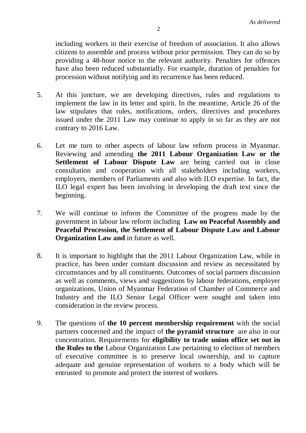including workers in their exercise of freedom of association. It also allows citizens to assemble and process without prior permission. They can do so by providing a 48-hour notice to the relevant authority. Penalties for offences have also been reduced substantially. For example, duration of penalties for procession without notifying and its recurrence has been reduced.

- 5. At this juncture, we are developing directives, rules and regulations to implement the law in its letter and spirit. In the meantime, Article 26 of the law stipulates that rules, notifications, orders, directives and procedures issued under the 2011 Law may continue to apply in so far as they are not contrary to 2016 Law.
- 6. Let me turn to other aspects of labour law reform process in Myanmar. Reviewing and amending **the 2011 Labour Organization Law or the Settlement of Labour Dispute Law** are being carried out in close consultation and cooperation with all stakeholders including workers, employers, members of Parliaments and also with ILO expertise. In fact, the ILO legal expert has been involving in developing the draft text since the beginning.
- 7. We will continue to inform the Committee of the progress made by the government in labour law reform including **Law on Peaceful Assembly and Peaceful Procession, the Settlement of Labour Dispute Law and Labour Organization Law and** in future as well.
- 8. It is important to highlight that the 2011 Labour Organization Law, while in practice, has been under constant discussion and review as necessitated by circumstances and by all constituents. Outcomes of social partners discussion as well as comments, views and suggestions by labour federations, employer organizations, Union of Myanmar Federation of Chamber of Commerce and Industry and the ILO Senior Legal Officer were sought and taken into consideration in the review process.
- 9. The questions of **the 10 percent membership requirement** with the social partners concerned and the impact of **the pyramid structure** are also in our concentration. Requirements for **eligibility to trade union office set out in the Rules to the** Labour Organization Law pertaining to election of members of executive committee is to preserve local ownership, and to capture adequate and genuine representation of workers to a body which will be entrusted to promote and protect the interest of workers.